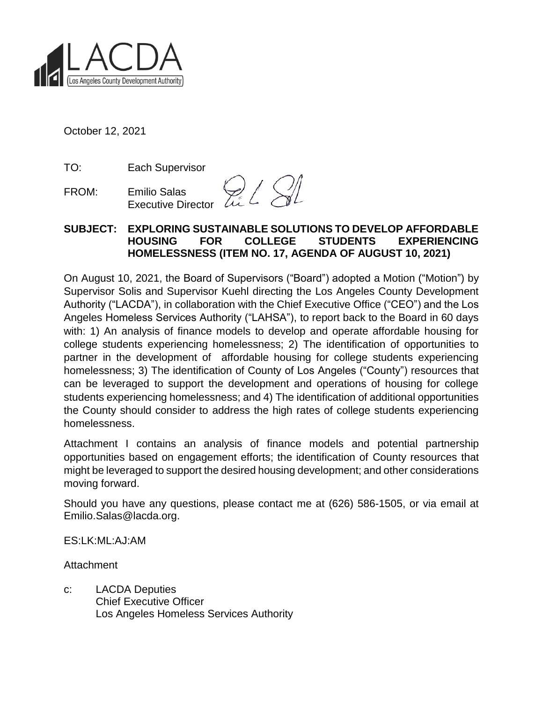

October 12, 2021

TO: Each Supervisor

FROM: Emilio Salas Executive Director

 $\mathbb{Z}$   $\leq$ 

#### **SUBJECT: EXPLORING SUSTAINABLE SOLUTIONS TO DEVELOP AFFORDABLE HOUSING FOR COLLEGE STUDENTS EXPERIENCING HOMELESSNESS (ITEM NO. 17, AGENDA OF AUGUST 10, 2021)**

On August 10, 2021, the Board of Supervisors ("Board") adopted a Motion ("Motion") by Supervisor Solis and Supervisor Kuehl directing the Los Angeles County Development Authority ("LACDA"), in collaboration with the Chief Executive Office ("CEO") and the Los Angeles Homeless Services Authority ("LAHSA"), to report back to the Board in 60 days with: 1) An analysis of finance models to develop and operate affordable housing for college students experiencing homelessness; 2) The identification of opportunities to partner in the development of affordable housing for college students experiencing homelessness; 3) The identification of County of Los Angeles ("County") resources that can be leveraged to support the development and operations of housing for college students experiencing homelessness; and 4) The identification of additional opportunities the County should consider to address the high rates of college students experiencing homelessness.

Attachment I contains an analysis of finance models and potential partnership opportunities based on engagement efforts; the identification of County resources that might be leveraged to support the desired housing development; and other considerations moving forward.

Should you have any questions, please contact me at (626) 586-1505, or via email at Emilio.Salas@lacda.org.

ES:LK:ML:AJ:AM

Attachment

c: LACDA Deputies Chief Executive Officer Los Angeles Homeless Services Authority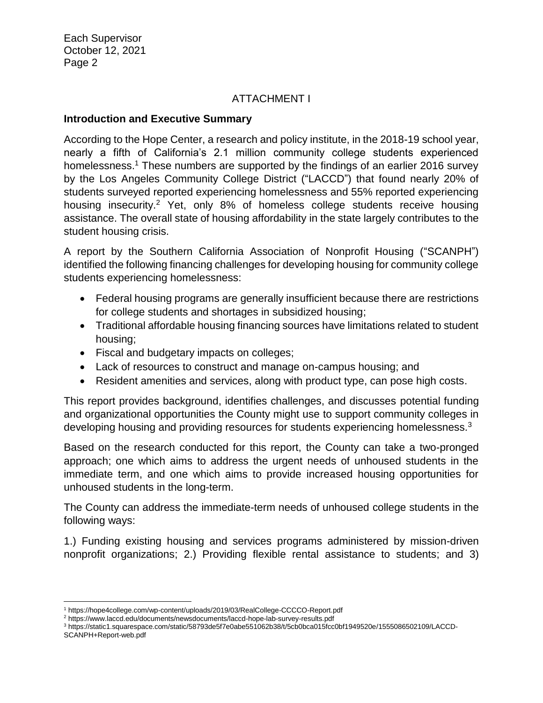# ATTACHMENT I

#### **Introduction and Executive Summary**

According to the Hope Center, a research and policy institute, in the 2018-19 school year, nearly a fifth of California's 2.1 million community college students experienced homelessness.<sup>1</sup> These numbers are supported by the findings of an earlier 2016 survey by the Los Angeles Community College District ("LACCD") that found nearly 20% of students surveyed reported experiencing homelessness and 55% reported experiencing housing insecurity.<sup>2</sup> Yet, only 8% of homeless college students receive housing assistance. The overall state of housing affordability in the state largely contributes to the student housing crisis.

A report by the Southern California Association of Nonprofit Housing ("SCANPH") identified the following financing challenges for developing housing for community college students experiencing homelessness:

- Federal housing programs are generally insufficient because there are restrictions for college students and shortages in subsidized housing;
- Traditional affordable housing financing sources have limitations related to student housing;
- Fiscal and budgetary impacts on colleges;
- Lack of resources to construct and manage on-campus housing; and
- Resident amenities and services, along with product type, can pose high costs.

This report provides background, identifies challenges, and discusses potential funding and organizational opportunities the County might use to support community colleges in developing housing and providing resources for students experiencing homelessness.<sup>3</sup>

Based on the research conducted for this report, the County can take a two-pronged approach; one which aims to address the urgent needs of unhoused students in the immediate term, and one which aims to provide increased housing opportunities for unhoused students in the long-term.

The County can address the immediate-term needs of unhoused college students in the following ways:

1.) Funding existing housing and services programs administered by mission-driven nonprofit organizations; 2.) Providing flexible rental assistance to students; and 3)

 $\overline{a}$ 

<sup>1</sup> https://hope4college.com/wp-content/uploads/2019/03/RealCollege-CCCCO-Report.pdf

<sup>2</sup> https://www.laccd.edu/documents/newsdocuments/laccd-hope-lab-survey-results.pdf

<sup>3</sup> https://static1.squarespace.com/static/58793de5f7e0abe551062b38/t/5cb0bca015fcc0bf1949520e/1555086502109/LACCD-SCANPH+Report-web.pdf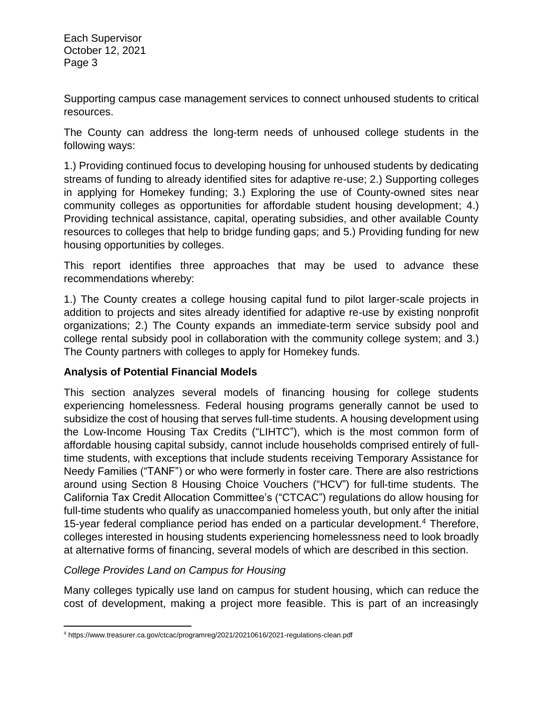Supporting campus case management services to connect unhoused students to critical resources.

The County can address the long-term needs of unhoused college students in the following ways:

1.) Providing continued focus to developing housing for unhoused students by dedicating streams of funding to already identified sites for adaptive re-use; 2.) Supporting colleges in applying for Homekey funding; 3.) Exploring the use of County-owned sites near community colleges as opportunities for affordable student housing development; 4.) Providing technical assistance, capital, operating subsidies, and other available County resources to colleges that help to bridge funding gaps; and 5.) Providing funding for new housing opportunities by colleges.

This report identifies three approaches that may be used to advance these recommendations whereby:

1.) The County creates a college housing capital fund to pilot larger-scale projects in addition to projects and sites already identified for adaptive re-use by existing nonprofit organizations; 2.) The County expands an immediate-term service subsidy pool and college rental subsidy pool in collaboration with the community college system; and 3.) The County partners with colleges to apply for Homekey funds.

# **Analysis of Potential Financial Models**

This section analyzes several models of financing housing for college students experiencing homelessness. Federal housing programs generally cannot be used to subsidize the cost of housing that serves full-time students. A housing development using the Low-Income Housing Tax Credits ("LIHTC"), which is the most common form of affordable housing capital subsidy, cannot include households comprised entirely of fulltime students, with exceptions that include students receiving Temporary Assistance for Needy Families ("TANF") or who were formerly in foster care. There are also restrictions around using Section 8 Housing Choice Vouchers ("HCV") for full-time students. The California Tax Credit Allocation Committee's ("CTCAC") regulations do allow housing for full-time students who qualify as unaccompanied homeless youth, but only after the initial 15-year federal compliance period has ended on a particular development.<sup>4</sup> Therefore, colleges interested in housing students experiencing homelessness need to look broadly at alternative forms of financing, several models of which are described in this section.

# *College Provides Land on Campus for Housing*

Many colleges typically use land on campus for student housing, which can reduce the cost of development, making a project more feasible. This is part of an increasingly

 $\overline{\phantom{a}}$ <sup>4</sup> https://www.treasurer.ca.gov/ctcac/programreg/2021/20210616/2021-regulations-clean.pdf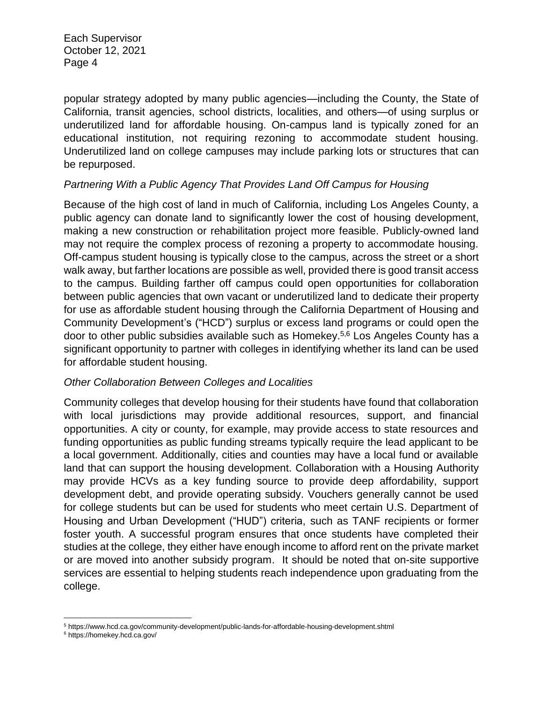popular strategy adopted by many public agencies—including the County, the State of California, transit agencies, school districts, localities, and others—of using surplus or underutilized land for affordable housing. On-campus land is typically zoned for an educational institution, not requiring rezoning to accommodate student housing. Underutilized land on college campuses may include parking lots or structures that can be repurposed.

# *Partnering With a Public Agency That Provides Land Off Campus for Housing*

Because of the high cost of land in much of California, including Los Angeles County, a public agency can donate land to significantly lower the cost of housing development, making a new construction or rehabilitation project more feasible. Publicly-owned land may not require the complex process of rezoning a property to accommodate housing. Off-campus student housing is typically close to the campus, across the street or a short walk away, but farther locations are possible as well, provided there is good transit access to the campus. Building farther off campus could open opportunities for collaboration between public agencies that own vacant or underutilized land to dedicate their property for use as affordable student housing through the California Department of Housing and Community Development's ("HCD") surplus or excess land programs or could open the door to other public subsidies available such as Homekey. 5,6 Los Angeles County has a significant opportunity to partner with colleges in identifying whether its land can be used for affordable student housing.

#### *Other Collaboration Between Colleges and Localities*

Community colleges that develop housing for their students have found that collaboration with local jurisdictions may provide additional resources, support, and financial opportunities. A city or county, for example, may provide access to state resources and funding opportunities as public funding streams typically require the lead applicant to be a local government. Additionally, cities and counties may have a local fund or available land that can support the housing development. Collaboration with a Housing Authority may provide HCVs as a key funding source to provide deep affordability, support development debt, and provide operating subsidy. Vouchers generally cannot be used for college students but can be used for students who meet certain U.S. Department of Housing and Urban Development ("HUD") criteria, such as TANF recipients or former foster youth. A successful program ensures that once students have completed their studies at the college, they either have enough income to afford rent on the private market or are moved into another subsidy program. It should be noted that on-site supportive services are essential to helping students reach independence upon graduating from the college.

l <sup>5</sup> https://www.hcd.ca.gov/community-development/public-lands-for-affordable-housing-development.shtml

<sup>6</sup> https://homekey.hcd.ca.gov/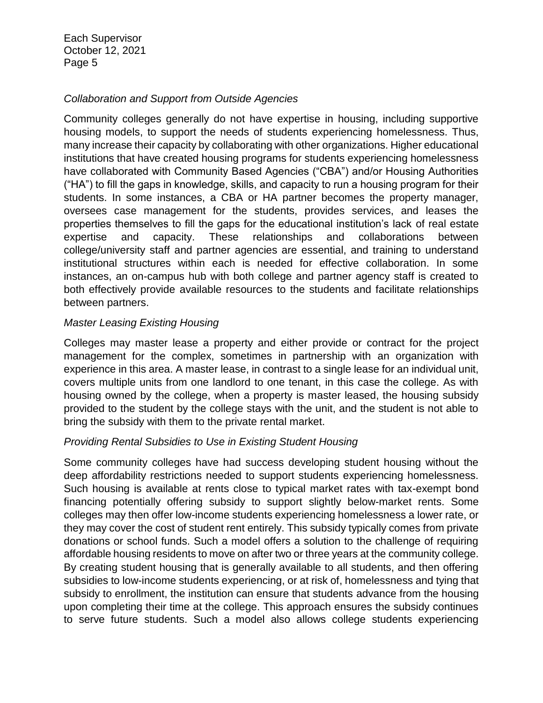#### *Collaboration and Support from Outside Agencies*

Community colleges generally do not have expertise in housing, including supportive housing models, to support the needs of students experiencing homelessness. Thus, many increase their capacity by collaborating with other organizations. Higher educational institutions that have created housing programs for students experiencing homelessness have collaborated with Community Based Agencies ("CBA") and/or Housing Authorities ("HA") to fill the gaps in knowledge, skills, and capacity to run a housing program for their students. In some instances, a CBA or HA partner becomes the property manager, oversees case management for the students, provides services, and leases the properties themselves to fill the gaps for the educational institution's lack of real estate expertise and capacity. These relationships and collaborations between college/university staff and partner agencies are essential, and training to understand institutional structures within each is needed for effective collaboration. In some instances, an on-campus hub with both college and partner agency staff is created to both effectively provide available resources to the students and facilitate relationships between partners.

#### *Master Leasing Existing Housing*

Colleges may master lease a property and either provide or contract for the project management for the complex, sometimes in partnership with an organization with experience in this area. A master lease, in contrast to a single lease for an individual unit, covers multiple units from one landlord to one tenant, in this case the college. As with housing owned by the college, when a property is master leased, the housing subsidy provided to the student by the college stays with the unit, and the student is not able to bring the subsidy with them to the private rental market.

#### *Providing Rental Subsidies to Use in Existing Student Housing*

Some community colleges have had success developing student housing without the deep affordability restrictions needed to support students experiencing homelessness. Such housing is available at rents close to typical market rates with tax-exempt bond financing potentially offering subsidy to support slightly below-market rents. Some colleges may then offer low-income students experiencing homelessness a lower rate, or they may cover the cost of student rent entirely. This subsidy typically comes from private donations or school funds. Such a model offers a solution to the challenge of requiring affordable housing residents to move on after two or three years at the community college. By creating student housing that is generally available to all students, and then offering subsidies to low-income students experiencing, or at risk of, homelessness and tying that subsidy to enrollment, the institution can ensure that students advance from the housing upon completing their time at the college. This approach ensures the subsidy continues to serve future students. Such a model also allows college students experiencing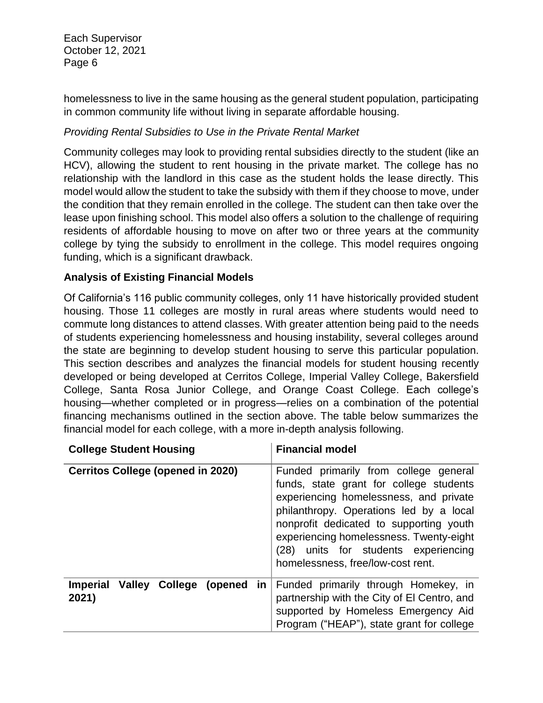homelessness to live in the same housing as the general student population, participating in common community life without living in separate affordable housing.

# *Providing Rental Subsidies to Use in the Private Rental Market*

Community colleges may look to providing rental subsidies directly to the student (like an HCV), allowing the student to rent housing in the private market. The college has no relationship with the landlord in this case as the student holds the lease directly. This model would allow the student to take the subsidy with them if they choose to move, under the condition that they remain enrolled in the college. The student can then take over the lease upon finishing school. This model also offers a solution to the challenge of requiring residents of affordable housing to move on after two or three years at the community college by tying the subsidy to enrollment in the college. This model requires ongoing funding, which is a significant drawback.

# **Analysis of Existing Financial Models**

Of California's 116 public community colleges, only 11 have historically provided student housing. Those 11 colleges are mostly in rural areas where students would need to commute long distances to attend classes. With greater attention being paid to the needs of students experiencing homelessness and housing instability, several colleges around the state are beginning to develop student housing to serve this particular population. This section describes and analyzes the financial models for student housing recently developed or being developed at Cerritos College, Imperial Valley College, Bakersfield College, Santa Rosa Junior College, and Orange Coast College. Each college's housing—whether completed or in progress—relies on a combination of the potential financing mechanisms outlined in the section above. The table below summarizes the financial model for each college, with a more in-depth analysis following.

| <b>College Student Housing</b>                            | <b>Financial model</b>                                                                                                                                                                                                                                                                                                                   |
|-----------------------------------------------------------|------------------------------------------------------------------------------------------------------------------------------------------------------------------------------------------------------------------------------------------------------------------------------------------------------------------------------------------|
| <b>Cerritos College (opened in 2020)</b>                  | Funded primarily from college general<br>funds, state grant for college students<br>experiencing homelessness, and private<br>philanthropy. Operations led by a local<br>nonprofit dedicated to supporting youth<br>experiencing homelessness. Twenty-eight<br>(28) units for students experiencing<br>homelessness, free/low-cost rent. |
| Imperial Valley College (opened<br>$\mathsf{in}$<br>2021) | Funded primarily through Homekey, in<br>partnership with the City of El Centro, and<br>supported by Homeless Emergency Aid<br>Program ("HEAP"), state grant for college                                                                                                                                                                  |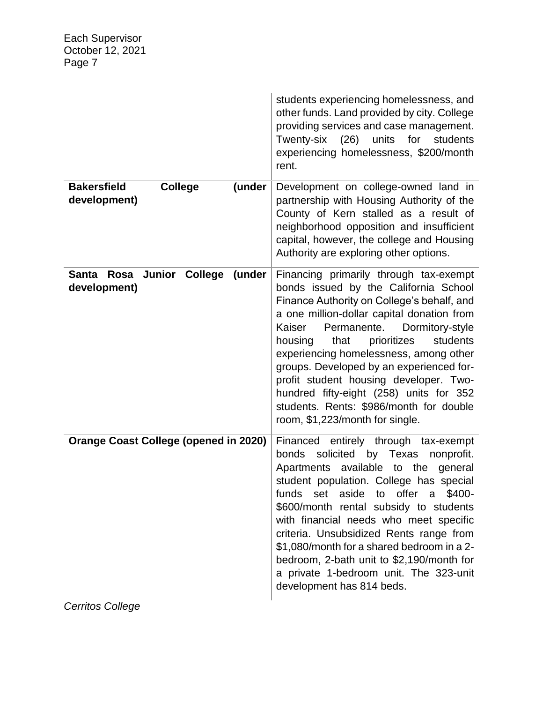|                                                                | students experiencing homelessness, and<br>other funds. Land provided by city. College<br>providing services and case management.<br>for<br>Twenty-six<br>(26)<br>units<br>students<br>experiencing homelessness, \$200/month<br>rent.                                                                                                                                                                                                                                                                                         |
|----------------------------------------------------------------|--------------------------------------------------------------------------------------------------------------------------------------------------------------------------------------------------------------------------------------------------------------------------------------------------------------------------------------------------------------------------------------------------------------------------------------------------------------------------------------------------------------------------------|
| <b>Bakersfield</b><br><b>College</b><br>(under<br>development) | Development on college-owned land in<br>partnership with Housing Authority of the<br>County of Kern stalled as a result of<br>neighborhood opposition and insufficient<br>capital, however, the college and Housing<br>Authority are exploring other options.                                                                                                                                                                                                                                                                  |
| Rosa Junior College<br>(under<br>Santa<br>development)         | Financing primarily through tax-exempt<br>bonds issued by the California School<br>Finance Authority on College's behalf, and<br>a one million-dollar capital donation from<br>Permanente.<br>Dormitory-style<br>Kaiser<br>prioritizes<br>students<br>housing<br>that<br>experiencing homelessness, among other<br>groups. Developed by an experienced for-<br>profit student housing developer. Two-<br>hundred fifty-eight (258) units for 352<br>students. Rents: \$986/month for double<br>room, \$1,223/month for single. |
| <b>Orange Coast College (opened in 2020)</b>                   | Financed entirely through tax-exempt<br>bonds<br>solicited<br>by Texas<br>nonprofit.<br>Apartments available to the<br>general<br>student population. College has special<br>aside to offer a<br>funds<br>set<br>\$400-<br>\$600/month rental subsidy to students<br>with financial needs who meet specific<br>criteria. Unsubsidized Rents range from<br>\$1,080/month for a shared bedroom in a 2-<br>bedroom, 2-bath unit to \$2,190/month for<br>a private 1-bedroom unit. The 323-unit<br>development has 814 beds.       |

*Cerritos College*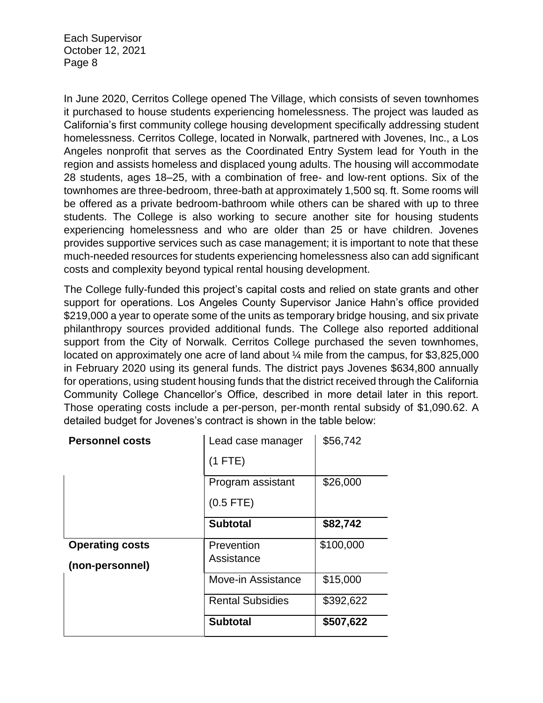In June 2020, Cerritos College opened The Village, which consists of seven townhomes it purchased to house students experiencing homelessness. The project was lauded as California's first community college housing development specifically addressing student homelessness. Cerritos College, located in Norwalk, partnered with Jovenes, Inc., a Los Angeles nonprofit that serves as the Coordinated Entry System lead for Youth in the region and assists homeless and displaced young adults. The housing will accommodate 28 students, ages 18–25, with a combination of free- and low-rent options. Six of the townhomes are three-bedroom, three-bath at approximately 1,500 sq. ft. Some rooms will be offered as a private bedroom-bathroom while others can be shared with up to three students. The College is also working to secure another site for housing students experiencing homelessness and who are older than 25 or have children. Jovenes provides supportive services such as case management; it is important to note that these much-needed resources for students experiencing homelessness also can add significant costs and complexity beyond typical rental housing development.

The College fully-funded this project's capital costs and relied on state grants and other support for operations. Los Angeles County Supervisor Janice Hahn's office provided \$219,000 a year to operate some of the units as temporary bridge housing, and six private philanthropy sources provided additional funds. The College also reported additional support from the City of Norwalk. Cerritos College purchased the seven townhomes, located on approximately one acre of land about ¼ mile from the campus, for \$3,825,000 in February 2020 using its general funds. The district pays Jovenes \$634,800 annually for operations, using student housing funds that the district received through the California Community College Chancellor's Office, described in more detail later in this report. Those operating costs include a per-person, per-month rental subsidy of \$1,090.62. A detailed budget for Jovenes's contract is shown in the table below:

| <b>Personnel costs</b> | Lead case manager       | \$56,742  |
|------------------------|-------------------------|-----------|
|                        | $(1$ FTE)               |           |
|                        | Program assistant       | \$26,000  |
|                        | $(0.5$ FTE)             |           |
|                        | <b>Subtotal</b>         | \$82,742  |
| <b>Operating costs</b> | Prevention              | \$100,000 |
| (non-personnel)        | Assistance              |           |
|                        | Move-in Assistance      | \$15,000  |
|                        | <b>Rental Subsidies</b> | \$392,622 |
|                        | <b>Subtotal</b>         | \$507,622 |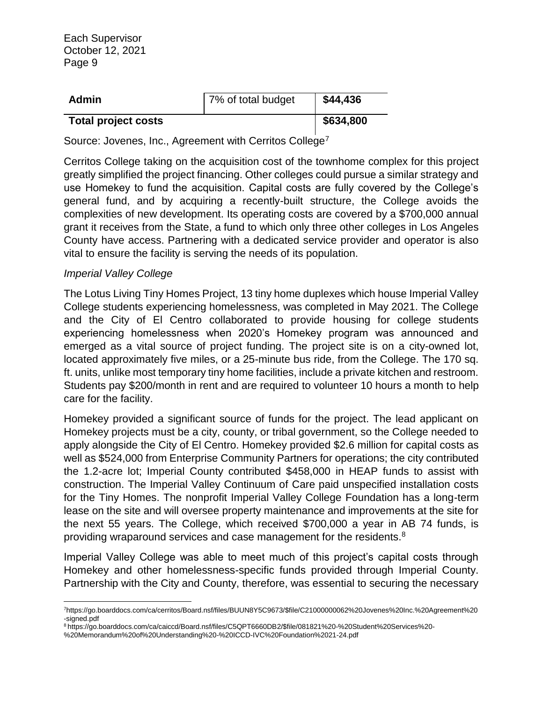| <b>Admin</b>               | 7% of total budget | \$44,436  |
|----------------------------|--------------------|-----------|
| <b>Total project costs</b> |                    | \$634,800 |

Source: Jovenes, Inc., Agreement with Cerritos College<sup>7</sup>

Cerritos College taking on the acquisition cost of the townhome complex for this project greatly simplified the project financing. Other colleges could pursue a similar strategy and use Homekey to fund the acquisition. Capital costs are fully covered by the College's general fund, and by acquiring a recently-built structure, the College avoids the complexities of new development. Its operating costs are covered by a \$700,000 annual grant it receives from the State, a fund to which only three other colleges in Los Angeles County have access. Partnering with a dedicated service provider and operator is also vital to ensure the facility is serving the needs of its population.

#### *Imperial Valley College*

The Lotus Living Tiny Homes Project, 13 tiny home duplexes which house Imperial Valley College students experiencing homelessness, was completed in May 2021. The College and the City of El Centro collaborated to provide housing for college students experiencing homelessness when 2020's Homekey program was announced and emerged as a vital source of project funding. The project site is on a city-owned lot, located approximately five miles, or a 25-minute bus ride, from the College. The 170 sq. ft. units, unlike most temporary tiny home facilities, include a private kitchen and restroom. Students pay \$200/month in rent and are required to volunteer 10 hours a month to help care for the facility.

Homekey provided a significant source of funds for the project. The lead applicant on Homekey projects must be a city, county, or tribal government, so the College needed to apply alongside the City of El Centro. Homekey provided \$2.6 million for capital costs as well as \$524,000 from Enterprise Community Partners for operations; the city contributed the 1.2-acre lot; Imperial County contributed \$458,000 in HEAP funds to assist with construction. The Imperial Valley Continuum of Care paid unspecified installation costs for the Tiny Homes. The nonprofit Imperial Valley College Foundation has a long-term lease on the site and will oversee property maintenance and improvements at the site for the next 55 years. The College, which received \$700,000 a year in AB 74 funds, is providing wraparound services and case management for the residents.<sup>8</sup>

Imperial Valley College was able to meet much of this project's capital costs through Homekey and other homelessness-specific funds provided through Imperial County. Partnership with the City and County, therefore, was essential to securing the necessary

 $\overline{a}$ <sup>7</sup>https://go.boarddocs.com/ca/cerritos/Board.nsf/files/BUUN8Y5C9673/\$file/C21000000062%20Jovenes%20Inc.%20Agreement%20 -signed.pdf

<sup>8</sup> https://go.boarddocs.com/ca/caiccd/Board.nsf/files/C5QPT6660DB2/\$file/081821%20-%20Student%20Services%20-

<sup>%20</sup>Memorandum%20of%20Understanding%20-%20ICCD-IVC%20Foundation%2021-24.pdf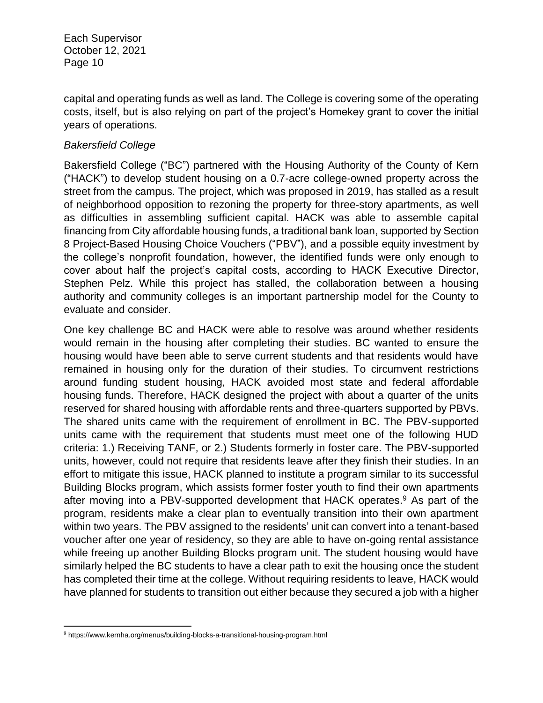capital and operating funds as well as land. The College is covering some of the operating costs, itself, but is also relying on part of the project's Homekey grant to cover the initial years of operations.

#### *Bakersfield College*

Bakersfield College ("BC") partnered with the Housing Authority of the County of Kern ("HACK") to develop student housing on a 0.7-acre college-owned property across the street from the campus. The project, which was proposed in 2019, has stalled as a result of neighborhood opposition to rezoning the property for three-story apartments, as well as difficulties in assembling sufficient capital. HACK was able to assemble capital financing from City affordable housing funds, a traditional bank loan, supported by Section 8 Project-Based Housing Choice Vouchers ("PBV"), and a possible equity investment by the college's nonprofit foundation, however, the identified funds were only enough to cover about half the project's capital costs, according to HACK Executive Director, Stephen Pelz. While this project has stalled, the collaboration between a housing authority and community colleges is an important partnership model for the County to evaluate and consider.

One key challenge BC and HACK were able to resolve was around whether residents would remain in the housing after completing their studies. BC wanted to ensure the housing would have been able to serve current students and that residents would have remained in housing only for the duration of their studies. To circumvent restrictions around funding student housing, HACK avoided most state and federal affordable housing funds. Therefore, HACK designed the project with about a quarter of the units reserved for shared housing with affordable rents and three-quarters supported by PBVs. The shared units came with the requirement of enrollment in BC. The PBV-supported units came with the requirement that students must meet one of the following HUD criteria: 1.) Receiving TANF, or 2.) Students formerly in foster care. The PBV-supported units, however, could not require that residents leave after they finish their studies. In an effort to mitigate this issue, HACK planned to institute a program similar to its successful Building Blocks program, which assists former foster youth to find their own apartments after moving into a PBV-supported development that HACK operates.<sup>9</sup> As part of the program, residents make a clear plan to eventually transition into their own apartment within two years. The PBV assigned to the residents' unit can convert into a tenant-based voucher after one year of residency, so they are able to have on-going rental assistance while freeing up another Building Blocks program unit. The student housing would have similarly helped the BC students to have a clear path to exit the housing once the student has completed their time at the college. Without requiring residents to leave, HACK would have planned for students to transition out either because they secured a job with a higher

 $\overline{\phantom{a}}$ 

<sup>9</sup> https://www.kernha.org/menus/building-blocks-a-transitional-housing-program.html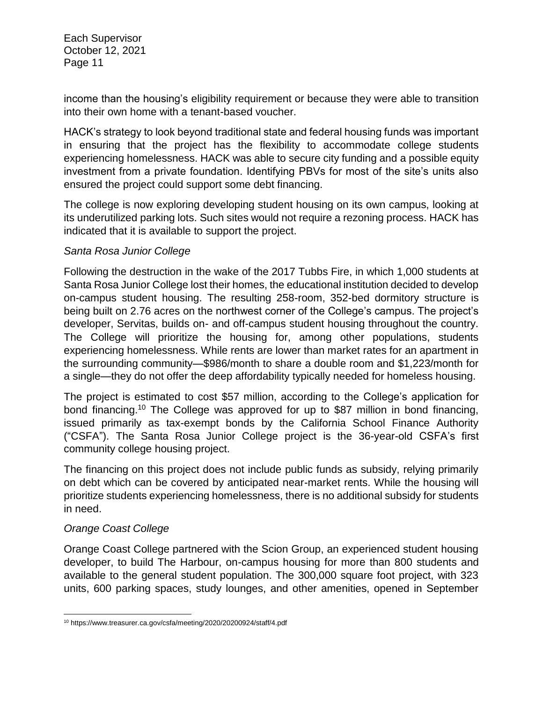income than the housing's eligibility requirement or because they were able to transition into their own home with a tenant-based voucher.

HACK's strategy to look beyond traditional state and federal housing funds was important in ensuring that the project has the flexibility to accommodate college students experiencing homelessness. HACK was able to secure city funding and a possible equity investment from a private foundation. Identifying PBVs for most of the site's units also ensured the project could support some debt financing.

The college is now exploring developing student housing on its own campus, looking at its underutilized parking lots. Such sites would not require a rezoning process. HACK has indicated that it is available to support the project.

#### *Santa Rosa Junior College*

Following the destruction in the wake of the 2017 Tubbs Fire, in which 1,000 students at Santa Rosa Junior College lost their homes, the educational institution decided to develop on-campus student housing. The resulting 258-room, 352-bed dormitory structure is being built on 2.76 acres on the northwest corner of the College's campus. The project's developer, Servitas, builds on- and off-campus student housing throughout the country. The College will prioritize the housing for, among other populations, students experiencing homelessness. While rents are lower than market rates for an apartment in the surrounding community—\$986/month to share a double room and \$1,223/month for a single—they do not offer the deep affordability typically needed for homeless housing.

The project is estimated to cost \$57 million, according to the College's application for bond financing. <sup>10</sup> The College was approved for up to \$87 million in bond financing, issued primarily as tax-exempt bonds by the California School Finance Authority ("CSFA"). The Santa Rosa Junior College project is the 36-year-old CSFA's first community college housing project.

The financing on this project does not include public funds as subsidy, relying primarily on debt which can be covered by anticipated near-market rents. While the housing will prioritize students experiencing homelessness, there is no additional subsidy for students in need.

# *Orange Coast College*

Orange Coast College partnered with the Scion Group, an experienced student housing developer, to build The Harbour, on-campus housing for more than 800 students and available to the general student population. The 300,000 square foot project, with 323 units, 600 parking spaces, study lounges, and other amenities, opened in September

 $\overline{a}$ <sup>10</sup> https://www.treasurer.ca.gov/csfa/meeting/2020/20200924/staff/4.pdf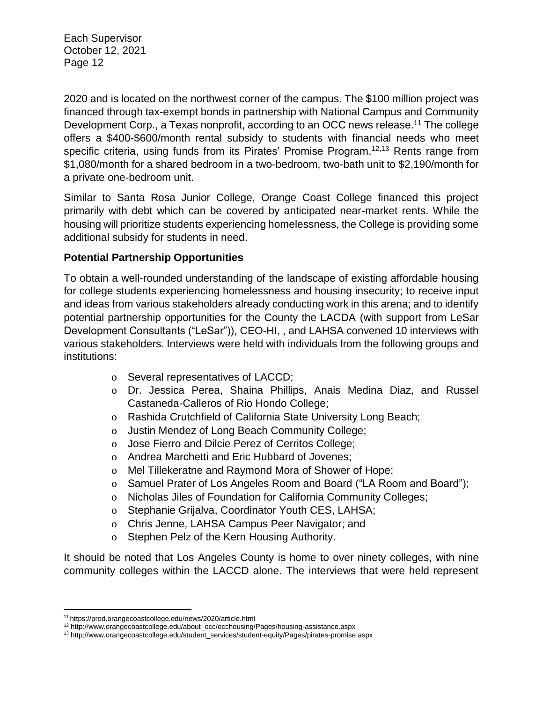2020 and is located on the northwest corner of the campus. The \$100 million project was financed through tax-exempt bonds in partnership with National Campus and Community Development Corp., a Texas nonprofit, according to an OCC news release.<sup>11</sup> The college offers a \$400-\$600/month rental subsidy to students with financial needs who meet specific criteria, using funds from its Pirates' Promise Program.<sup>12,13</sup> Rents range from \$1,080/month for a shared bedroom in a two-bedroom, two-bath unit to \$2,190/month for a private one-bedroom unit.

Similar to Santa Rosa Junior College, Orange Coast College financed this project primarily with debt which can be covered by anticipated near-market rents. While the housing will prioritize students experiencing homelessness, the College is providing some additional subsidy for students in need.

#### **Potential Partnership Opportunities**

To obtain a well-rounded understanding of the landscape of existing affordable housing for college students experiencing homelessness and housing insecurity; to receive input and ideas from various stakeholders already conducting work in this arena; and to identify potential partnership opportunities for the County the LACDA (with support from LeSar Development Consultants ("LeSar")), CEO-HI, , and LAHSA convened 10 interviews with various stakeholders. Interviews were held with individuals from the following groups and institutions:

- o Several representatives of LACCD;
- o Dr. Jessica Perea, Shaina Phillips, Anais Medina Diaz, and Russel Castaneda-Calleros of Rio Hondo College;
- o Rashida Crutchfield of California State University Long Beach;
- o Justin Mendez of Long Beach Community College;
- o Jose Fierro and Dilcie Perez of Cerritos College;
- o Andrea Marchetti and Eric Hubbard of Jovenes;
- o Mel Tillekeratne and Raymond Mora of Shower of Hope;
- o Samuel Prater of Los Angeles Room and Board ("LA Room and Board");
- o Nicholas Jiles of Foundation for California Community Colleges;
- o Stephanie Grijalva, Coordinator Youth CES, LAHSA;
- o Chris Jenne, LAHSA Campus Peer Navigator; and
- o Stephen Pelz of the Kern Housing Authority.

It should be noted that Los Angeles County is home to over ninety colleges, with nine community colleges within the LACCD alone. The interviews that were held represent

 $\overline{\phantom{a}}$ <sup>11</sup> https://prod.orangecoastcollege.edu/news/2020/article.html

<sup>12</sup> http://www.orangecoastcollege.edu/about\_occ/occhousing/Pages/housing-assistance.aspx

<sup>13</sup> http://www.orangecoastcollege.edu/student\_services/student-equity/Pages/pirates-promise.aspx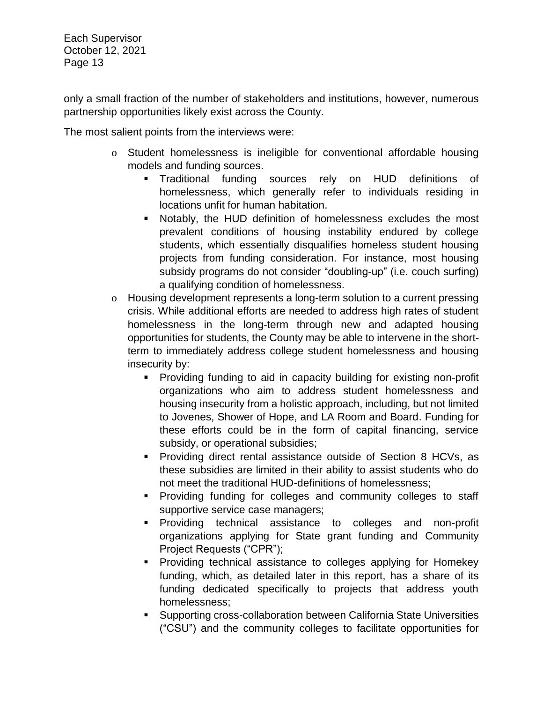only a small fraction of the number of stakeholders and institutions, however, numerous partnership opportunities likely exist across the County.

The most salient points from the interviews were:

- o Student homelessness is ineligible for conventional affordable housing models and funding sources.
	- Traditional funding sources rely on HUD definitions of homelessness, which generally refer to individuals residing in locations unfit for human habitation.
	- Notably, the HUD definition of homelessness excludes the most prevalent conditions of housing instability endured by college students, which essentially disqualifies homeless student housing projects from funding consideration. For instance, most housing subsidy programs do not consider "doubling-up" (i.e. couch surfing) a qualifying condition of homelessness.
- o Housing development represents a long-term solution to a current pressing crisis. While additional efforts are needed to address high rates of student homelessness in the long-term through new and adapted housing opportunities for students, the County may be able to intervene in the shortterm to immediately address college student homelessness and housing insecurity by:
	- Providing funding to aid in capacity building for existing non-profit organizations who aim to address student homelessness and housing insecurity from a holistic approach, including, but not limited to Jovenes, Shower of Hope, and LA Room and Board. Funding for these efforts could be in the form of capital financing, service subsidy, or operational subsidies;
	- **Providing direct rental assistance outside of Section 8 HCVs, as** these subsidies are limited in their ability to assist students who do not meet the traditional HUD-definitions of homelessness;
	- **Providing funding for colleges and community colleges to staff** supportive service case managers;
	- Providing technical assistance to colleges and non-profit organizations applying for State grant funding and Community Project Requests ("CPR");
	- **Providing technical assistance to colleges applying for Homekey** funding, which, as detailed later in this report, has a share of its funding dedicated specifically to projects that address youth homelessness;
	- Supporting cross-collaboration between California State Universities ("CSU") and the community colleges to facilitate opportunities for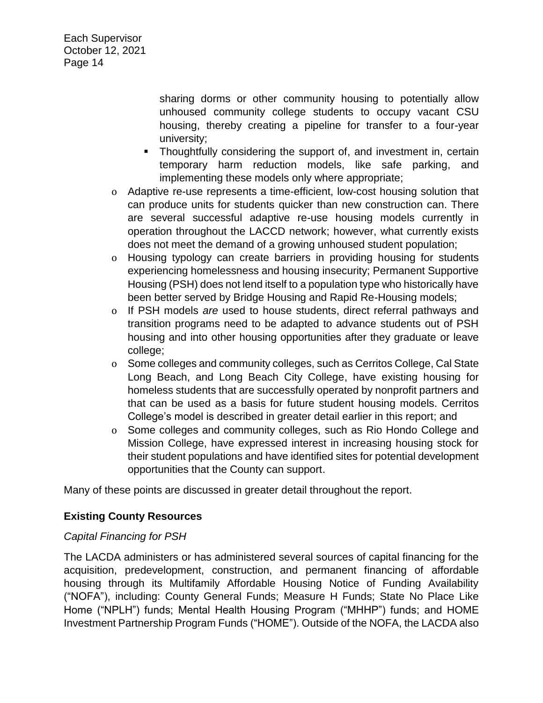> sharing dorms or other community housing to potentially allow unhoused community college students to occupy vacant CSU housing, thereby creating a pipeline for transfer to a four-year university;

- Thoughtfully considering the support of, and investment in, certain temporary harm reduction models, like safe parking, and implementing these models only where appropriate;
- o Adaptive re-use represents a time-efficient, low-cost housing solution that can produce units for students quicker than new construction can. There are several successful adaptive re-use housing models currently in operation throughout the LACCD network; however, what currently exists does not meet the demand of a growing unhoused student population;
- o Housing typology can create barriers in providing housing for students experiencing homelessness and housing insecurity; Permanent Supportive Housing (PSH) does not lend itself to a population type who historically have been better served by Bridge Housing and Rapid Re-Housing models;
- o If PSH models *are* used to house students, direct referral pathways and transition programs need to be adapted to advance students out of PSH housing and into other housing opportunities after they graduate or leave college;
- o Some colleges and community colleges, such as Cerritos College, Cal State Long Beach, and Long Beach City College, have existing housing for homeless students that are successfully operated by nonprofit partners and that can be used as a basis for future student housing models. Cerritos College's model is described in greater detail earlier in this report; and
- o Some colleges and community colleges, such as Rio Hondo College and Mission College, have expressed interest in increasing housing stock for their student populations and have identified sites for potential development opportunities that the County can support.

Many of these points are discussed in greater detail throughout the report.

# **Existing County Resources**

# *Capital Financing for PSH*

The LACDA administers or has administered several sources of capital financing for the acquisition, predevelopment, construction, and permanent financing of affordable housing through its Multifamily Affordable Housing Notice of Funding Availability ("NOFA"), including: County General Funds; Measure H Funds; State No Place Like Home ("NPLH") funds; Mental Health Housing Program ("MHHP") funds; and HOME Investment Partnership Program Funds ("HOME"). Outside of the NOFA, the LACDA also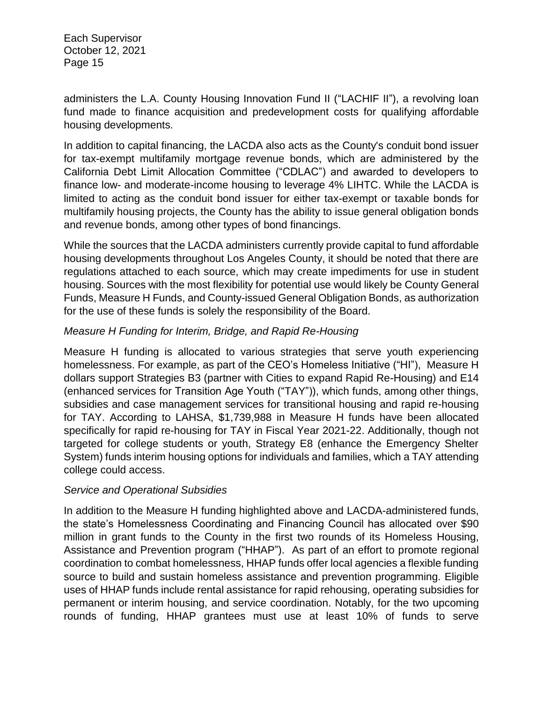administers the L.A. County Housing Innovation Fund II ("LACHIF II"), a revolving loan fund made to finance acquisition and predevelopment costs for qualifying affordable housing developments.

In addition to capital financing, the LACDA also acts as the County's conduit bond issuer for tax-exempt multifamily mortgage revenue bonds, which are administered by the California Debt Limit Allocation Committee ("CDLAC") and awarded to developers to finance low- and moderate-income housing to leverage 4% LIHTC. While the LACDA is limited to acting as the conduit bond issuer for either tax-exempt or taxable bonds for multifamily housing projects, the County has the ability to issue general obligation bonds and revenue bonds, among other types of bond financings.

While the sources that the LACDA administers currently provide capital to fund affordable housing developments throughout Los Angeles County, it should be noted that there are regulations attached to each source, which may create impediments for use in student housing. Sources with the most flexibility for potential use would likely be County General Funds, Measure H Funds, and County-issued General Obligation Bonds, as authorization for the use of these funds is solely the responsibility of the Board.

# *Measure H Funding for Interim, Bridge, and Rapid Re-Housing*

Measure H funding is allocated to various strategies that serve youth experiencing homelessness. For example, as part of the CEO's Homeless Initiative ("HI"), Measure H dollars support Strategies B3 (partner with Cities to expand Rapid Re-Housing) and E14 (enhanced services for Transition Age Youth ("TAY")), which funds, among other things, subsidies and case management services for transitional housing and rapid re-housing for TAY. According to LAHSA, \$1,739,988 in Measure H funds have been allocated specifically for rapid re-housing for TAY in Fiscal Year 2021-22. Additionally, though not targeted for college students or youth, Strategy E8 (enhance the Emergency Shelter System) funds interim housing options for individuals and families, which a TAY attending college could access.

#### *Service and Operational Subsidies*

In addition to the Measure H funding highlighted above and LACDA-administered funds, the state's Homelessness Coordinating and Financing Council has allocated over \$90 million in grant funds to the County in the first two rounds of its Homeless Housing, Assistance and Prevention program ("HHAP"). As part of an effort to promote regional coordination to combat homelessness, HHAP funds offer local agencies a flexible funding source to build and sustain homeless assistance and prevention programming. Eligible uses of HHAP funds include rental assistance for rapid rehousing, operating subsidies for permanent or interim housing, and service coordination. Notably, for the two upcoming rounds of funding, HHAP grantees must use at least 10% of funds to serve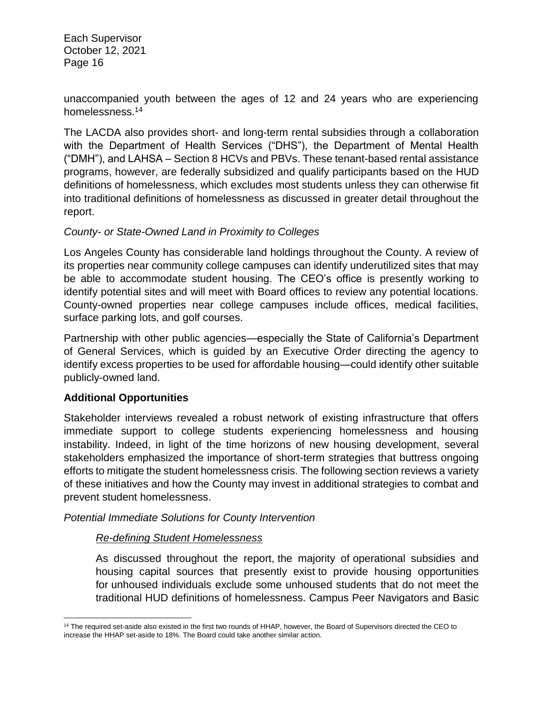unaccompanied youth between the ages of 12 and 24 years who are experiencing homelessness.<sup>14</sup>

The LACDA also provides short- and long-term rental subsidies through a collaboration with the Department of Health Services ("DHS"), the Department of Mental Health ("DMH"), and LAHSA – Section 8 HCVs and PBVs. These tenant-based rental assistance programs, however, are federally subsidized and qualify participants based on the HUD definitions of homelessness, which excludes most students unless they can otherwise fit into traditional definitions of homelessness as discussed in greater detail throughout the report.

#### *County- or State-Owned Land in Proximity to Colleges*

Los Angeles County has considerable land holdings throughout the County. A review of its properties near community college campuses can identify underutilized sites that may be able to accommodate student housing. The CEO's office is presently working to identify potential sites and will meet with Board offices to review any potential locations. County-owned properties near college campuses include offices, medical facilities, surface parking lots, and golf courses.

Partnership with other public agencies—especially the State of California's Department of General Services, which is guided by an Executive Order directing the agency to identify excess properties to be used for affordable housing—could identify other suitable publicly-owned land.

# **Additional Opportunities**

Stakeholder interviews revealed a robust network of existing infrastructure that offers immediate support to college students experiencing homelessness and housing instability. Indeed, in light of the time horizons of new housing development, several stakeholders emphasized the importance of short-term strategies that buttress ongoing efforts to mitigate the student homelessness crisis. The following section reviews a variety of these initiatives and how the County may invest in additional strategies to combat and prevent student homelessness.

*Potential Immediate Solutions for County Intervention*

# *Re-defining Student Homelessness*

As discussed throughout the report, the majority of operational subsidies and housing capital sources that presently exist to provide housing opportunities for unhoused individuals exclude some unhoused students that do not meet the traditional HUD definitions of homelessness. Campus Peer Navigators and Basic

l <sup>14</sup> The required set-aside also existed in the first two rounds of HHAP, however, the Board of Supervisors directed the CEO to increase the HHAP set-aside to 18%. The Board could take another similar action.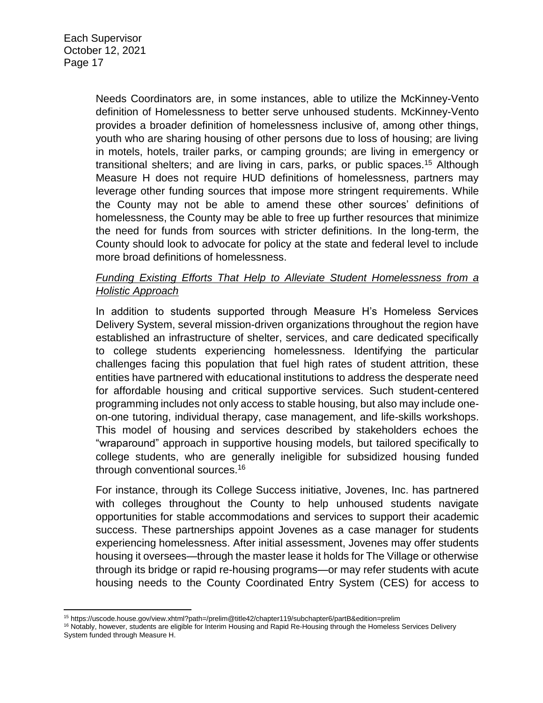Needs Coordinators are, in some instances, able to utilize the McKinney-Vento definition of Homelessness to better serve unhoused students. McKinney-Vento provides a broader definition of homelessness inclusive of, among other things, youth who are sharing housing of other persons due to loss of housing; are living in motels, hotels, trailer parks, or camping grounds; are living in emergency or transitional shelters; and are living in cars, parks, or public spaces.<sup>15</sup> Although Measure H does not require HUD definitions of homelessness, partners may leverage other funding sources that impose more stringent requirements. While the County may not be able to amend these other sources' definitions of homelessness, the County may be able to free up further resources that minimize the need for funds from sources with stricter definitions. In the long-term, the County should look to advocate for policy at the state and federal level to include more broad definitions of homelessness.

# *Funding Existing Efforts That Help to Alleviate Student Homelessness from a Holistic Approach*

In addition to students supported through Measure H's Homeless Services Delivery System, several mission-driven organizations throughout the region have established an infrastructure of shelter, services, and care dedicated specifically to college students experiencing homelessness. Identifying the particular challenges facing this population that fuel high rates of student attrition, these entities have partnered with educational institutions to address the desperate need for affordable housing and critical supportive services. Such student-centered programming includes not only access to stable housing, but also may include oneon-one tutoring, individual therapy, case management, and life-skills workshops. This model of housing and services described by stakeholders echoes the "wraparound" approach in supportive housing models, but tailored specifically to college students, who are generally ineligible for subsidized housing funded through conventional sources.<sup>16</sup>

For instance, through its College Success initiative, Jovenes, Inc. has partnered with colleges throughout the County to help unhoused students navigate opportunities for stable accommodations and services to support their academic success. These partnerships appoint Jovenes as a case manager for students experiencing homelessness. After initial assessment, Jovenes may offer students housing it oversees—through the master lease it holds for The Village or otherwise through its bridge or rapid re-housing programs—or may refer students with acute housing needs to the County Coordinated Entry System (CES) for access to

 $\overline{\phantom{a}}$ <sup>15</sup> https://uscode.house.gov/view.xhtml?path=/prelim@title42/chapter119/subchapter6/partB&edition=prelim

<sup>&</sup>lt;sup>16</sup> Notably, however, students are eligible for Interim Housing and Rapid Re-Housing through the Homeless Services Delivery System funded through Measure H.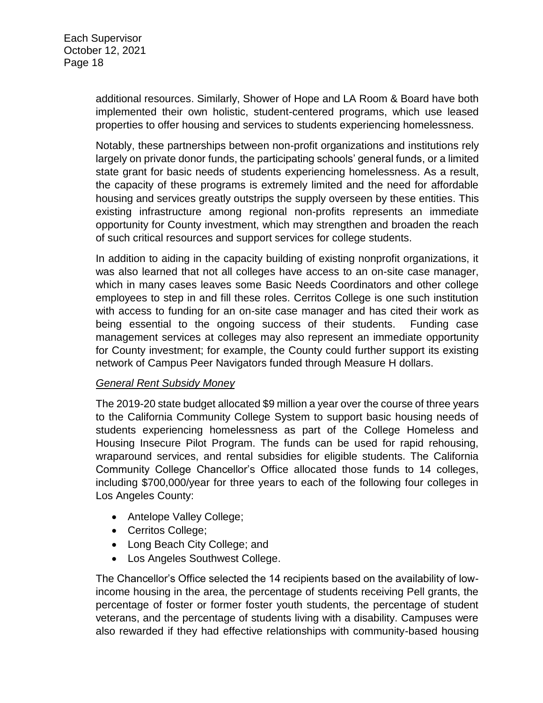additional resources. Similarly, Shower of Hope and LA Room & Board have both implemented their own holistic, student-centered programs, which use leased properties to offer housing and services to students experiencing homelessness.

Notably, these partnerships between non-profit organizations and institutions rely largely on private donor funds, the participating schools' general funds, or a limited state grant for basic needs of students experiencing homelessness. As a result, the capacity of these programs is extremely limited and the need for affordable housing and services greatly outstrips the supply overseen by these entities. This existing infrastructure among regional non-profits represents an immediate opportunity for County investment, which may strengthen and broaden the reach of such critical resources and support services for college students.

In addition to aiding in the capacity building of existing nonprofit organizations, it was also learned that not all colleges have access to an on-site case manager, which in many cases leaves some Basic Needs Coordinators and other college employees to step in and fill these roles. Cerritos College is one such institution with access to funding for an on-site case manager and has cited their work as being essential to the ongoing success of their students. Funding case management services at colleges may also represent an immediate opportunity for County investment; for example, the County could further support its existing network of Campus Peer Navigators funded through Measure H dollars.

#### *General Rent Subsidy Money*

The 2019-20 state budget allocated \$9 million a year over the course of three years to the California Community College System to support basic housing needs of students experiencing homelessness as part of the College Homeless and Housing Insecure Pilot Program. The funds can be used for rapid rehousing, wraparound services, and rental subsidies for eligible students. The California Community College Chancellor's Office allocated those funds to 14 colleges, including \$700,000/year for three years to each of the following four colleges in Los Angeles County:

- Antelope Valley College;
- Cerritos College;
- Long Beach City College; and
- Los Angeles Southwest College.

The Chancellor's Office selected the 14 recipients based on the availability of lowincome housing in the area, the percentage of students receiving Pell grants, the percentage of foster or former foster youth students, the percentage of student veterans, and the percentage of students living with a disability. Campuses were also rewarded if they had effective relationships with community-based housing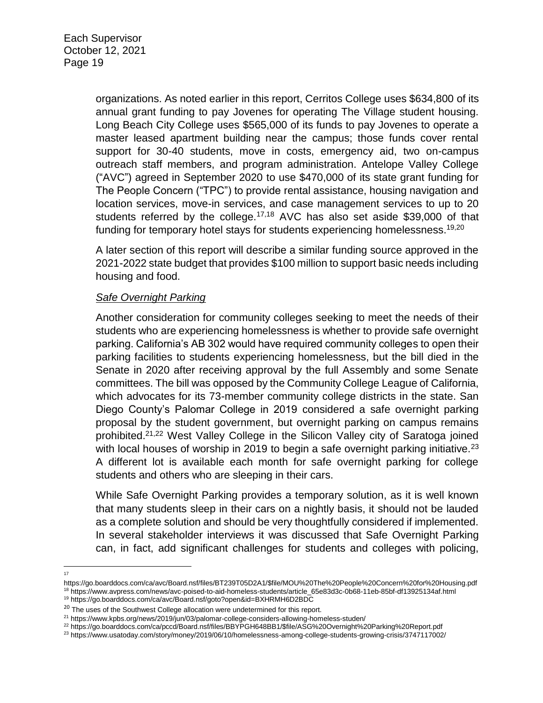organizations. As noted earlier in this report, Cerritos College uses \$634,800 of its annual grant funding to pay Jovenes for operating The Village student housing. Long Beach City College uses \$565,000 of its funds to pay Jovenes to operate a master leased apartment building near the campus; those funds cover rental support for 30-40 students, move in costs, emergency aid, two on-campus outreach staff members, and program administration. Antelope Valley College ("AVC") agreed in September 2020 to use \$470,000 of its state grant funding for The People Concern ("TPC") to provide rental assistance, housing navigation and location services, move-in services, and case management services to up to 20 students referred by the college.<sup>17,18</sup> AVC has also set aside \$39,000 of that funding for temporary hotel stays for students experiencing homelessness.<sup>19,20</sup>

A later section of this report will describe a similar funding source approved in the 2021-2022 state budget that provides \$100 million to support basic needs including housing and food.

#### *Safe Overnight Parking*

Another consideration for community colleges seeking to meet the needs of their students who are experiencing homelessness is whether to provide safe overnight parking. California's AB 302 would have required community colleges to open their parking facilities to students experiencing homelessness, but the bill died in the Senate in 2020 after receiving approval by the full Assembly and some Senate committees. The bill was opposed by the Community College League of California, which advocates for its 73-member community college districts in the state. San Diego County's Palomar College in 2019 considered a safe overnight parking proposal by the student government, but overnight parking on campus remains prohibited.21,22 West Valley College in the Silicon Valley city of Saratoga joined with local houses of worship in 2019 to begin a safe overnight parking initiative.<sup>23</sup> A different lot is available each month for safe overnight parking for college students and others who are sleeping in their cars.

While Safe Overnight Parking provides a temporary solution, as it is well known that many students sleep in their cars on a nightly basis, it should not be lauded as a complete solution and should be very thoughtfully considered if implemented. In several stakeholder interviews it was discussed that Safe Overnight Parking can, in fact, add significant challenges for students and colleges with policing,

 $\frac{1}{17}$ 

<sup>21</sup> https://www.kpbs.org/news/2019/jun/03/palomar-college-considers-allowing-homeless-studen/

https://go.boarddocs.com/ca/avc/Board.nsf/files/BT239T05D2A1/\$file/MOU%20The%20People%20Concern%20for%20Housing.pdf

<sup>18</sup> https://www.avpress.com/news/avc-poised-to-aid-homeless-students/article\_65e83d3c-0b68-11eb-85bf-df13925134af.html <sup>19</sup> https://go.boarddocs.com/ca/avc/Board.nsf/goto?open&id=BXHRMH6D2BDC

<sup>&</sup>lt;sup>20</sup> The uses of the Southwest College allocation were undetermined for this report.

<sup>22</sup> https://go.boarddocs.com/ca/pccd/Board.nsf/files/BBYPGH648BB1/\$file/ASG%20Overnight%20Parking%20Report.pdf

<sup>23</sup> https://www.usatoday.com/story/money/2019/06/10/homelessness-among-college-students-growing-crisis/3747117002/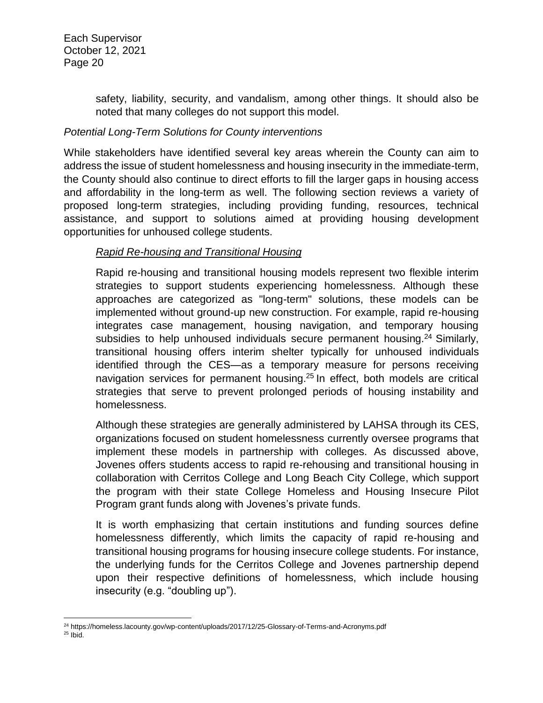safety, liability, security, and vandalism, among other things. It should also be noted that many colleges do not support this model.

# *Potential Long-Term Solutions for County interventions*

While stakeholders have identified several key areas wherein the County can aim to address the issue of student homelessness and housing insecurity in the immediate-term, the County should also continue to direct efforts to fill the larger gaps in housing access and affordability in the long-term as well. The following section reviews a variety of proposed long-term strategies, including providing funding, resources, technical assistance, and support to solutions aimed at providing housing development opportunities for unhoused college students.

# *Rapid Re-housing and Transitional Housing*

Rapid re-housing and transitional housing models represent two flexible interim strategies to support students experiencing homelessness. Although these approaches are categorized as "long-term" solutions, these models can be implemented without ground-up new construction. For example, rapid re-housing integrates case management, housing navigation, and temporary housing subsidies to help unhoused individuals secure permanent housing.<sup>24</sup> Similarly, transitional housing offers interim shelter typically for unhoused individuals identified through the CES—as a temporary measure for persons receiving navigation services for permanent housing.<sup>25</sup> In effect, both models are critical strategies that serve to prevent prolonged periods of housing instability and homelessness.

Although these strategies are generally administered by LAHSA through its CES, organizations focused on student homelessness currently oversee programs that implement these models in partnership with colleges. As discussed above, Jovenes offers students access to rapid re-rehousing and transitional housing in collaboration with Cerritos College and Long Beach City College, which support the program with their state College Homeless and Housing Insecure Pilot Program grant funds along with Jovenes's private funds.

It is worth emphasizing that certain institutions and funding sources define homelessness differently, which limits the capacity of rapid re-housing and transitional housing programs for housing insecure college students. For instance, the underlying funds for the Cerritos College and Jovenes partnership depend upon their respective definitions of homelessness, which include housing insecurity (e.g. "doubling up").

l <sup>24</sup> https://homeless.lacounty.gov/wp-content/uploads/2017/12/25-Glossary-of-Terms-and-Acronyms.pdf  $25$  Ibid.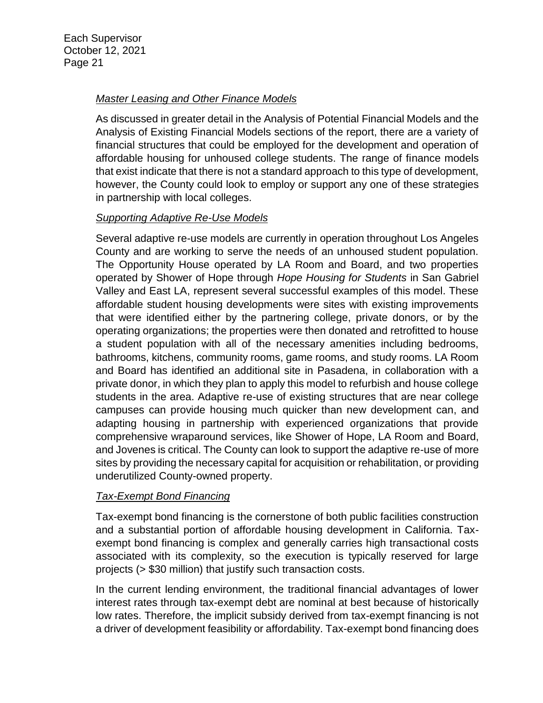# *Master Leasing and Other Finance Models*

As discussed in greater detail in the Analysis of Potential Financial Models and the Analysis of Existing Financial Models sections of the report, there are a variety of financial structures that could be employed for the development and operation of affordable housing for unhoused college students. The range of finance models that exist indicate that there is not a standard approach to this type of development, however, the County could look to employ or support any one of these strategies in partnership with local colleges.

# *Supporting Adaptive Re-Use Models*

Several adaptive re-use models are currently in operation throughout Los Angeles County and are working to serve the needs of an unhoused student population. The Opportunity House operated by LA Room and Board, and two properties operated by Shower of Hope through *Hope Housing for Students* in San Gabriel Valley and East LA, represent several successful examples of this model. These affordable student housing developments were sites with existing improvements that were identified either by the partnering college, private donors, or by the operating organizations; the properties were then donated and retrofitted to house a student population with all of the necessary amenities including bedrooms, bathrooms, kitchens, community rooms, game rooms, and study rooms. LA Room and Board has identified an additional site in Pasadena, in collaboration with a private donor, in which they plan to apply this model to refurbish and house college students in the area. Adaptive re-use of existing structures that are near college campuses can provide housing much quicker than new development can, and adapting housing in partnership with experienced organizations that provide comprehensive wraparound services, like Shower of Hope, LA Room and Board, and Jovenes is critical. The County can look to support the adaptive re-use of more sites by providing the necessary capital for acquisition or rehabilitation, or providing underutilized County-owned property.

# *Tax-Exempt Bond Financing*

Tax-exempt bond financing is the cornerstone of both public facilities construction and a substantial portion of affordable housing development in California. Taxexempt bond financing is complex and generally carries high transactional costs associated with its complexity, so the execution is typically reserved for large projects (> \$30 million) that justify such transaction costs.

In the current lending environment, the traditional financial advantages of lower interest rates through tax-exempt debt are nominal at best because of historically low rates. Therefore, the implicit subsidy derived from tax-exempt financing is not a driver of development feasibility or affordability. Tax-exempt bond financing does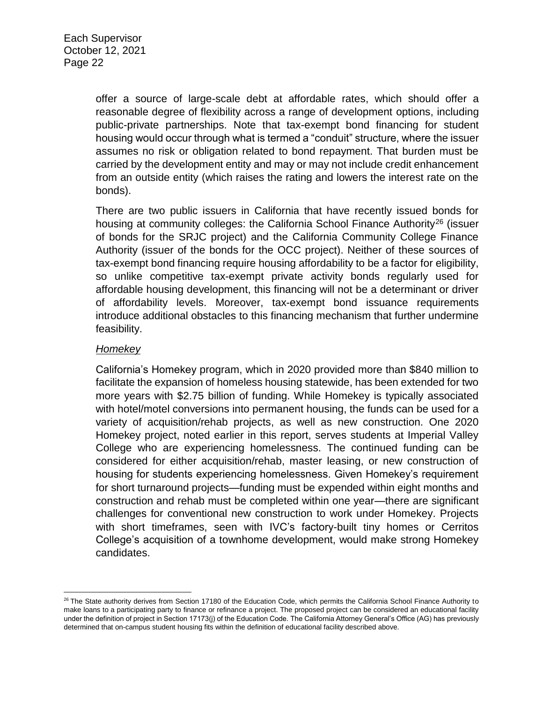offer a source of large-scale debt at affordable rates, which should offer a reasonable degree of flexibility across a range of development options, including public-private partnerships. Note that tax-exempt bond financing for student housing would occur through what is termed a "conduit" structure, where the issuer assumes no risk or obligation related to bond repayment. That burden must be carried by the development entity and may or may not include credit enhancement from an outside entity (which raises the rating and lowers the interest rate on the bonds).

There are two public issuers in California that have recently issued bonds for housing at community colleges: the California School Finance Authority<sup>26</sup> (issuer of bonds for the SRJC project) and the California Community College Finance Authority (issuer of the bonds for the OCC project). Neither of these sources of tax-exempt bond financing require housing affordability to be a factor for eligibility, so unlike competitive tax-exempt private activity bonds regularly used for affordable housing development, this financing will not be a determinant or driver of affordability levels. Moreover, tax-exempt bond issuance requirements introduce additional obstacles to this financing mechanism that further undermine feasibility.

#### *Homekey*

California's Homekey program, which in 2020 provided more than \$840 million to facilitate the expansion of homeless housing statewide, has been extended for two more years with \$2.75 billion of funding. While Homekey is typically associated with hotel/motel conversions into permanent housing, the funds can be used for a variety of acquisition/rehab projects, as well as new construction. One 2020 Homekey project, noted earlier in this report, serves students at Imperial Valley College who are experiencing homelessness. The continued funding can be considered for either acquisition/rehab, master leasing, or new construction of housing for students experiencing homelessness. Given Homekey's requirement for short turnaround projects—funding must be expended within eight months and construction and rehab must be completed within one year—there are significant challenges for conventional new construction to work under Homekey. Projects with short timeframes, seen with IVC's factory-built tiny homes or Cerritos College's acquisition of a townhome development, would make strong Homekey candidates.

 $\overline{\phantom{a}}$ <sup>26</sup> The State authority derives from Section 17180 of the Education Code, which permits the California School Finance Authority to make loans to a participating party to finance or refinance a project. The proposed project can be considered an educational facility under the definition of project in Section 17173(j) of the Education Code. The California Attorney General's Office (AG) has previously determined that on-campus student housing fits within the definition of educational facility described above.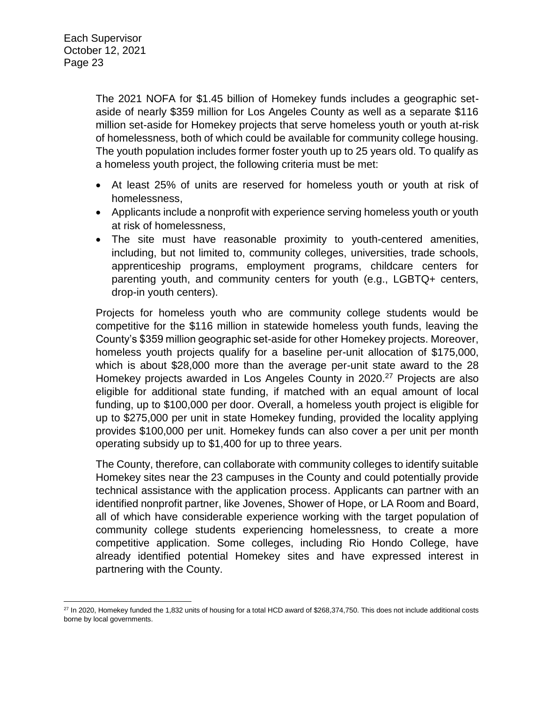The 2021 NOFA for \$1.45 billion of Homekey funds includes a geographic setaside of nearly \$359 million for Los Angeles County as well as a separate \$116 million set-aside for Homekey projects that serve homeless youth or youth at-risk of homelessness, both of which could be available for community college housing. The youth population includes former foster youth up to 25 years old. To qualify as a homeless youth project, the following criteria must be met:

- At least 25% of units are reserved for homeless youth or youth at risk of homelessness,
- Applicants include a nonprofit with experience serving homeless youth or youth at risk of homelessness,
- The site must have reasonable proximity to youth-centered amenities, including, but not limited to, community colleges, universities, trade schools, apprenticeship programs, employment programs, childcare centers for parenting youth, and community centers for youth (e.g., LGBTQ+ centers, drop-in youth centers).

Projects for homeless youth who are community college students would be competitive for the \$116 million in statewide homeless youth funds, leaving the County's \$359 million geographic set-aside for other Homekey projects. Moreover, homeless youth projects qualify for a baseline per-unit allocation of \$175,000, which is about \$28,000 more than the average per-unit state award to the 28 Homekey projects awarded in Los Angeles County in 2020.<sup>27</sup> Projects are also eligible for additional state funding, if matched with an equal amount of local funding, up to \$100,000 per door. Overall, a homeless youth project is eligible for up to \$275,000 per unit in state Homekey funding, provided the locality applying provides \$100,000 per unit. Homekey funds can also cover a per unit per month operating subsidy up to \$1,400 for up to three years.

The County, therefore, can collaborate with community colleges to identify suitable Homekey sites near the 23 campuses in the County and could potentially provide technical assistance with the application process. Applicants can partner with an identified nonprofit partner, like Jovenes, Shower of Hope, or LA Room and Board, all of which have considerable experience working with the target population of community college students experiencing homelessness, to create a more competitive application. Some colleges, including Rio Hondo College, have already identified potential Homekey sites and have expressed interest in partnering with the County.

 $\overline{a}$  $^{27}$  In 2020, Homekey funded the 1,832 units of housing for a total HCD award of \$268,374,750. This does not include additional costs borne by local governments.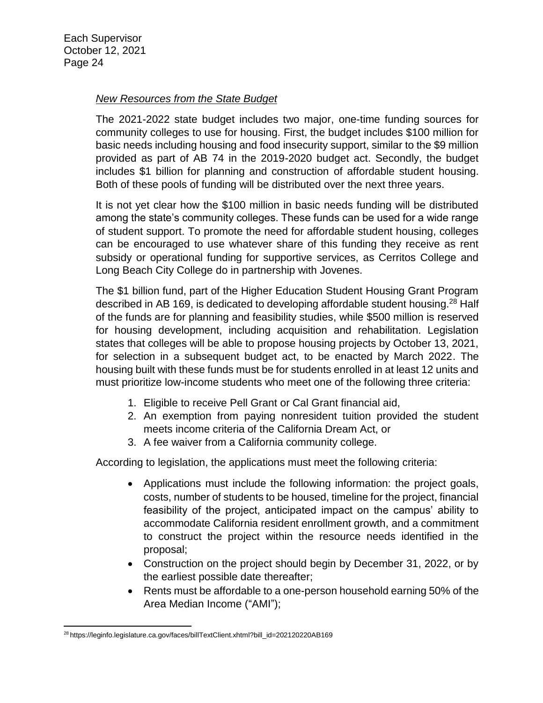#### *New Resources from the State Budget*

The 2021-2022 state budget includes two major, one-time funding sources for community colleges to use for housing. First, the budget includes \$100 million for basic needs including housing and food insecurity support, similar to the \$9 million provided as part of AB 74 in the 2019-2020 budget act. Secondly, the budget includes \$1 billion for planning and construction of affordable student housing. Both of these pools of funding will be distributed over the next three years.

It is not yet clear how the \$100 million in basic needs funding will be distributed among the state's community colleges. These funds can be used for a wide range of student support. To promote the need for affordable student housing, colleges can be encouraged to use whatever share of this funding they receive as rent subsidy or operational funding for supportive services, as Cerritos College and Long Beach City College do in partnership with Jovenes.

The \$1 billion fund, part of the Higher Education Student Housing Grant Program described in AB 169, is dedicated to developing affordable student housing.<sup>28</sup> Half of the funds are for planning and feasibility studies, while \$500 million is reserved for housing development, including acquisition and rehabilitation. Legislation states that colleges will be able to propose housing projects by October 13, 2021, for selection in a subsequent budget act, to be enacted by March 2022. The housing built with these funds must be for students enrolled in at least 12 units and must prioritize low-income students who meet one of the following three criteria:

- 1. Eligible to receive Pell Grant or Cal Grant financial aid,
- 2. An exemption from paying nonresident tuition provided the student meets income criteria of the California Dream Act, or
- 3. A fee waiver from a California community college.

According to legislation, the applications must meet the following criteria:

- Applications must include the following information: the project goals, costs, number of students to be housed, timeline for the project, financial feasibility of the project, anticipated impact on the campus' ability to accommodate California resident enrollment growth, and a commitment to construct the project within the resource needs identified in the proposal;
- Construction on the project should begin by December 31, 2022, or by the earliest possible date thereafter;
- Rents must be affordable to a one-person household earning 50% of the Area Median Income ("AMI");

 $\overline{\phantom{a}}$ <sup>28</sup> https://leginfo.legislature.ca.gov/faces/billTextClient.xhtml?bill\_id=202120220AB169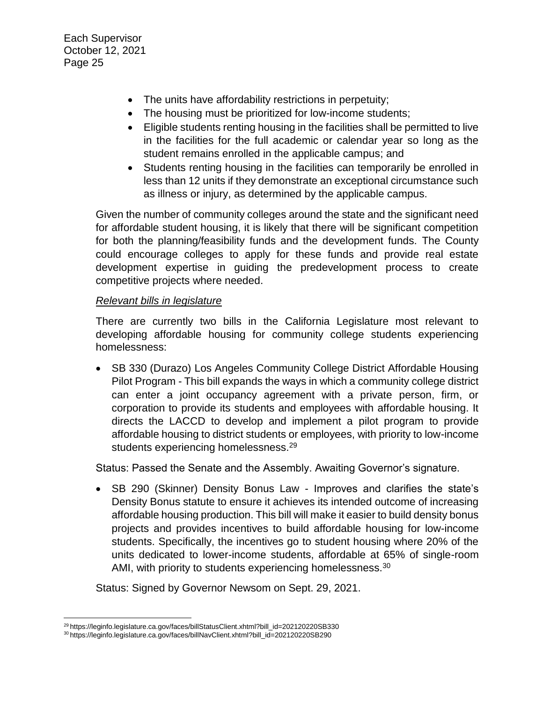- The units have affordability restrictions in perpetuity;
- The housing must be prioritized for low-income students;
- Eligible students renting housing in the facilities shall be permitted to live in the facilities for the full academic or calendar year so long as the student remains enrolled in the applicable campus; and
- Students renting housing in the facilities can temporarily be enrolled in less than 12 units if they demonstrate an exceptional circumstance such as illness or injury, as determined by the applicable campus.

Given the number of community colleges around the state and the significant need for affordable student housing, it is likely that there will be significant competition for both the planning/feasibility funds and the development funds. The County could encourage colleges to apply for these funds and provide real estate development expertise in guiding the predevelopment process to create competitive projects where needed.

#### *Relevant bills in legislature*

There are currently two bills in the California Legislature most relevant to developing affordable housing for community college students experiencing homelessness:

• SB 330 (Durazo) Los Angeles Community College District Affordable Housing Pilot Program - This bill expands the ways in which a community college district can enter a joint occupancy agreement with a private person, firm, or corporation to provide its students and employees with affordable housing. It directs the LACCD to develop and implement a pilot program to provide affordable housing to district students or employees, with priority to low-income students experiencing homelessness.<sup>29</sup>

Status: Passed the Senate and the Assembly. Awaiting Governor's signature.

 SB 290 (Skinner) Density Bonus Law - Improves and clarifies the state's Density Bonus statute to ensure it achieves its intended outcome of increasing affordable housing production. This bill will make it easier to build density bonus projects and provides incentives to build affordable housing for low-income students. Specifically, the incentives go to student housing where 20% of the units dedicated to lower-income students, affordable at 65% of single-room AMI, with priority to students experiencing homelessness.<sup>30</sup>

Status: Signed by Governor Newsom on Sept. 29, 2021.

l <sup>29</sup> https://leginfo.legislature.ca.gov/faces/billStatusClient.xhtml?bill\_id=202120220SB330

<sup>30</sup> https://leginfo.legislature.ca.gov/faces/billNavClient.xhtml?bill\_id=202120220SB290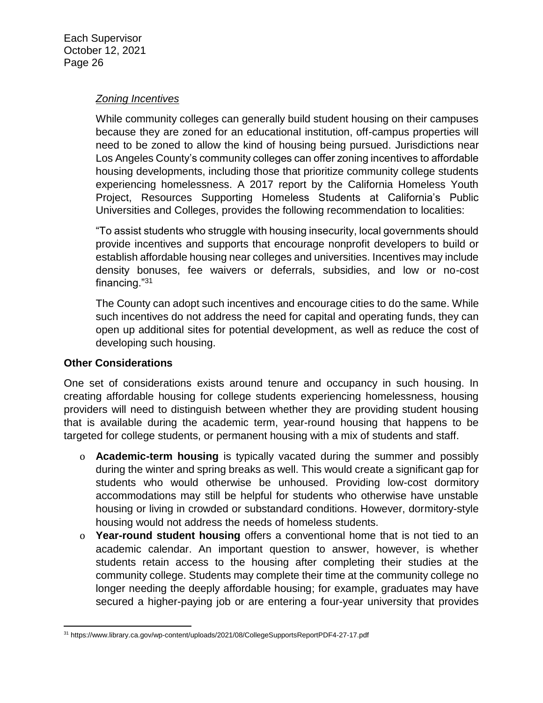#### *Zoning Incentives*

While community colleges can generally build student housing on their campuses because they are zoned for an educational institution, off-campus properties will need to be zoned to allow the kind of housing being pursued. Jurisdictions near Los Angeles County's community colleges can offer zoning incentives to affordable housing developments, including those that prioritize community college students experiencing homelessness. A 2017 report by the California Homeless Youth Project, Resources Supporting Homeless Students at California's Public Universities and Colleges, provides the following recommendation to localities:

"To assist students who struggle with housing insecurity, local governments should provide incentives and supports that encourage nonprofit developers to build or establish affordable housing near colleges and universities. Incentives may include density bonuses, fee waivers or deferrals, subsidies, and low or no-cost financing."<sup>31</sup>

The County can adopt such incentives and encourage cities to do the same. While such incentives do not address the need for capital and operating funds, they can open up additional sites for potential development, as well as reduce the cost of developing such housing.

#### **Other Considerations**

One set of considerations exists around tenure and occupancy in such housing. In creating affordable housing for college students experiencing homelessness, housing providers will need to distinguish between whether they are providing student housing that is available during the academic term, year-round housing that happens to be targeted for college students, or permanent housing with a mix of students and staff.

- o **Academic-term housing** is typically vacated during the summer and possibly during the winter and spring breaks as well. This would create a significant gap for students who would otherwise be unhoused. Providing low-cost dormitory accommodations may still be helpful for students who otherwise have unstable housing or living in crowded or substandard conditions. However, dormitory-style housing would not address the needs of homeless students.
- o **Year-round student housing** offers a conventional home that is not tied to an academic calendar. An important question to answer, however, is whether students retain access to the housing after completing their studies at the community college. Students may complete their time at the community college no longer needing the deeply affordable housing; for example, graduates may have secured a higher-paying job or are entering a four-year university that provides

 $\overline{\phantom{a}}$ <sup>31</sup> https://www.library.ca.gov/wp-content/uploads/2021/08/CollegeSupportsReportPDF4-27-17.pdf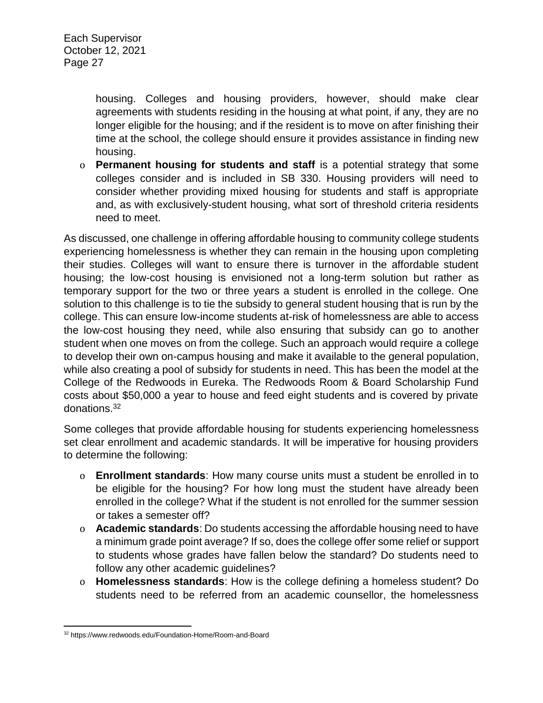housing. Colleges and housing providers, however, should make clear agreements with students residing in the housing at what point, if any, they are no longer eligible for the housing; and if the resident is to move on after finishing their time at the school, the college should ensure it provides assistance in finding new housing.

o **Permanent housing for students and staff** is a potential strategy that some colleges consider and is included in SB 330. Housing providers will need to consider whether providing mixed housing for students and staff is appropriate and, as with exclusively-student housing, what sort of threshold criteria residents need to meet.

As discussed, one challenge in offering affordable housing to community college students experiencing homelessness is whether they can remain in the housing upon completing their studies. Colleges will want to ensure there is turnover in the affordable student housing; the low-cost housing is envisioned not a long-term solution but rather as temporary support for the two or three years a student is enrolled in the college. One solution to this challenge is to tie the subsidy to general student housing that is run by the college. This can ensure low-income students at-risk of homelessness are able to access the low-cost housing they need, while also ensuring that subsidy can go to another student when one moves on from the college. Such an approach would require a college to develop their own on-campus housing and make it available to the general population, while also creating a pool of subsidy for students in need. This has been the model at the College of the Redwoods in Eureka. The Redwoods Room & Board Scholarship Fund costs about \$50,000 a year to house and feed eight students and is covered by private donations.<sup>32</sup>

Some colleges that provide affordable housing for students experiencing homelessness set clear enrollment and academic standards. It will be imperative for housing providers to determine the following:

- o **Enrollment standards**: How many course units must a student be enrolled in to be eligible for the housing? For how long must the student have already been enrolled in the college? What if the student is not enrolled for the summer session or takes a semester off?
- o **Academic standards**: Do students accessing the affordable housing need to have a minimum grade point average? If so, does the college offer some relief or support to students whose grades have fallen below the standard? Do students need to follow any other academic guidelines?
- o **Homelessness standards**: How is the college defining a homeless student? Do students need to be referred from an academic counsellor, the homelessness

 $\overline{\phantom{a}}$ <sup>32</sup> https://www.redwoods.edu/Foundation-Home/Room-and-Board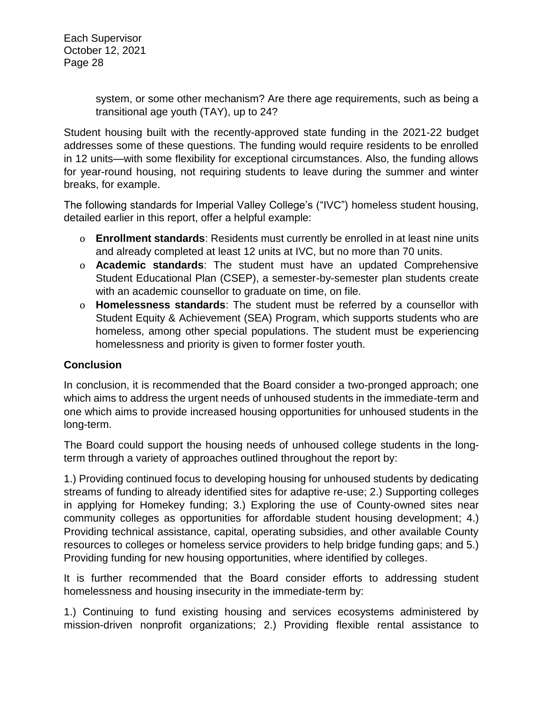> system, or some other mechanism? Are there age requirements, such as being a transitional age youth (TAY), up to 24?

Student housing built with the recently-approved state funding in the 2021-22 budget addresses some of these questions. The funding would require residents to be enrolled in 12 units—with some flexibility for exceptional circumstances. Also, the funding allows for year-round housing, not requiring students to leave during the summer and winter breaks, for example.

The following standards for Imperial Valley College's ("IVC") homeless student housing, detailed earlier in this report, offer a helpful example:

- o **Enrollment standards**: Residents must currently be enrolled in at least nine units and already completed at least 12 units at IVC, but no more than 70 units.
- o **Academic standards**: The student must have an updated Comprehensive Student Educational Plan (CSEP), a semester-by-semester plan students create with an academic counsellor to graduate on time, on file.
- o **Homelessness standards**: The student must be referred by a counsellor with Student Equity & Achievement (SEA) Program, which supports students who are homeless, among other special populations. The student must be experiencing homelessness and priority is given to former foster youth.

# **Conclusion**

In conclusion, it is recommended that the Board consider a two-pronged approach; one which aims to address the urgent needs of unhoused students in the immediate-term and one which aims to provide increased housing opportunities for unhoused students in the long-term.

The Board could support the housing needs of unhoused college students in the longterm through a variety of approaches outlined throughout the report by:

1.) Providing continued focus to developing housing for unhoused students by dedicating streams of funding to already identified sites for adaptive re-use; 2.) Supporting colleges in applying for Homekey funding; 3.) Exploring the use of County-owned sites near community colleges as opportunities for affordable student housing development; 4.) Providing technical assistance, capital, operating subsidies, and other available County resources to colleges or homeless service providers to help bridge funding gaps; and 5.) Providing funding for new housing opportunities, where identified by colleges.

It is further recommended that the Board consider efforts to addressing student homelessness and housing insecurity in the immediate-term by:

1.) Continuing to fund existing housing and services ecosystems administered by mission-driven nonprofit organizations; 2.) Providing flexible rental assistance to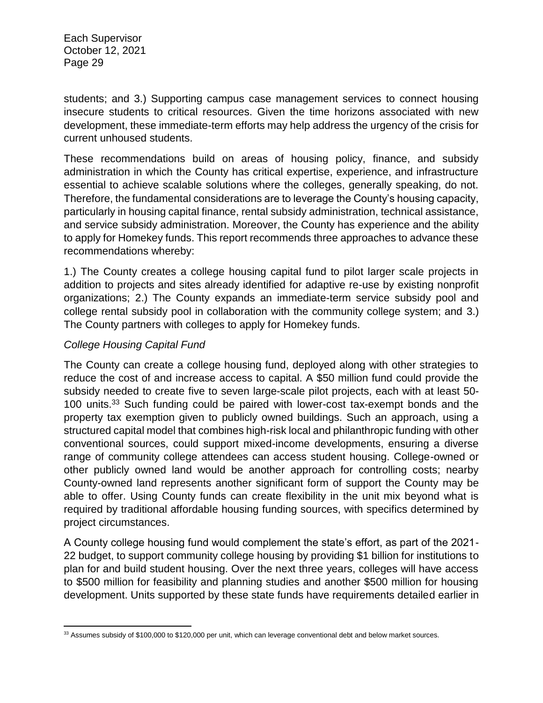students; and 3.) Supporting campus case management services to connect housing insecure students to critical resources. Given the time horizons associated with new development, these immediate-term efforts may help address the urgency of the crisis for current unhoused students.

These recommendations build on areas of housing policy, finance, and subsidy administration in which the County has critical expertise, experience, and infrastructure essential to achieve scalable solutions where the colleges, generally speaking, do not. Therefore, the fundamental considerations are to leverage the County's housing capacity, particularly in housing capital finance, rental subsidy administration, technical assistance, and service subsidy administration. Moreover, the County has experience and the ability to apply for Homekey funds. This report recommends three approaches to advance these recommendations whereby:

1.) The County creates a college housing capital fund to pilot larger scale projects in addition to projects and sites already identified for adaptive re-use by existing nonprofit organizations; 2.) The County expands an immediate-term service subsidy pool and college rental subsidy pool in collaboration with the community college system; and 3.) The County partners with colleges to apply for Homekey funds.

# *College Housing Capital Fund*

 $\overline{\phantom{a}}$ 

The County can create a college housing fund, deployed along with other strategies to reduce the cost of and increase access to capital. A \$50 million fund could provide the subsidy needed to create five to seven large-scale pilot projects, each with at least 50- 100 units.<sup>33</sup> Such funding could be paired with lower-cost tax-exempt bonds and the property tax exemption given to publicly owned buildings. Such an approach, using a structured capital model that combines high-risk local and philanthropic funding with other conventional sources, could support mixed-income developments, ensuring a diverse range of community college attendees can access student housing. College-owned or other publicly owned land would be another approach for controlling costs; nearby County-owned land represents another significant form of support the County may be able to offer. Using County funds can create flexibility in the unit mix beyond what is required by traditional affordable housing funding sources, with specifics determined by project circumstances.

A County college housing fund would complement the state's effort, as part of the 2021- 22 budget, to support community college housing by providing \$1 billion for institutions to plan for and build student housing. Over the next three years, colleges will have access to \$500 million for feasibility and planning studies and another \$500 million for housing development. Units supported by these state funds have requirements detailed earlier in

<sup>33</sup> Assumes subsidy of \$100,000 to \$120,000 per unit, which can leverage conventional debt and below market sources.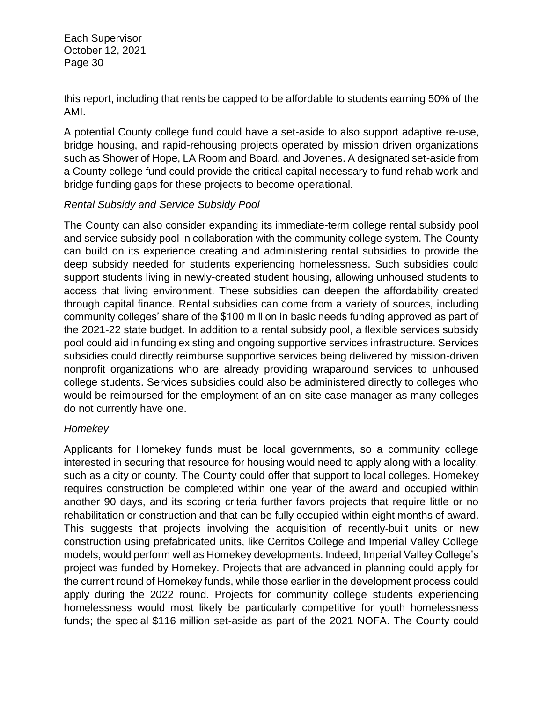this report, including that rents be capped to be affordable to students earning 50% of the AMI.

A potential County college fund could have a set-aside to also support adaptive re-use, bridge housing, and rapid-rehousing projects operated by mission driven organizations such as Shower of Hope, LA Room and Board, and Jovenes. A designated set-aside from a County college fund could provide the critical capital necessary to fund rehab work and bridge funding gaps for these projects to become operational.

# *Rental Subsidy and Service Subsidy Pool*

The County can also consider expanding its immediate-term college rental subsidy pool and service subsidy pool in collaboration with the community college system. The County can build on its experience creating and administering rental subsidies to provide the deep subsidy needed for students experiencing homelessness. Such subsidies could support students living in newly-created student housing, allowing unhoused students to access that living environment. These subsidies can deepen the affordability created through capital finance. Rental subsidies can come from a variety of sources, including community colleges' share of the \$100 million in basic needs funding approved as part of the 2021-22 state budget. In addition to a rental subsidy pool, a flexible services subsidy pool could aid in funding existing and ongoing supportive services infrastructure. Services subsidies could directly reimburse supportive services being delivered by mission-driven nonprofit organizations who are already providing wraparound services to unhoused college students. Services subsidies could also be administered directly to colleges who would be reimbursed for the employment of an on-site case manager as many colleges do not currently have one.

# *Homekey*

Applicants for Homekey funds must be local governments, so a community college interested in securing that resource for housing would need to apply along with a locality, such as a city or county. The County could offer that support to local colleges. Homekey requires construction be completed within one year of the award and occupied within another 90 days, and its scoring criteria further favors projects that require little or no rehabilitation or construction and that can be fully occupied within eight months of award. This suggests that projects involving the acquisition of recently-built units or new construction using prefabricated units, like Cerritos College and Imperial Valley College models, would perform well as Homekey developments. Indeed, Imperial Valley College's project was funded by Homekey. Projects that are advanced in planning could apply for the current round of Homekey funds, while those earlier in the development process could apply during the 2022 round. Projects for community college students experiencing homelessness would most likely be particularly competitive for youth homelessness funds; the special \$116 million set-aside as part of the 2021 NOFA. The County could